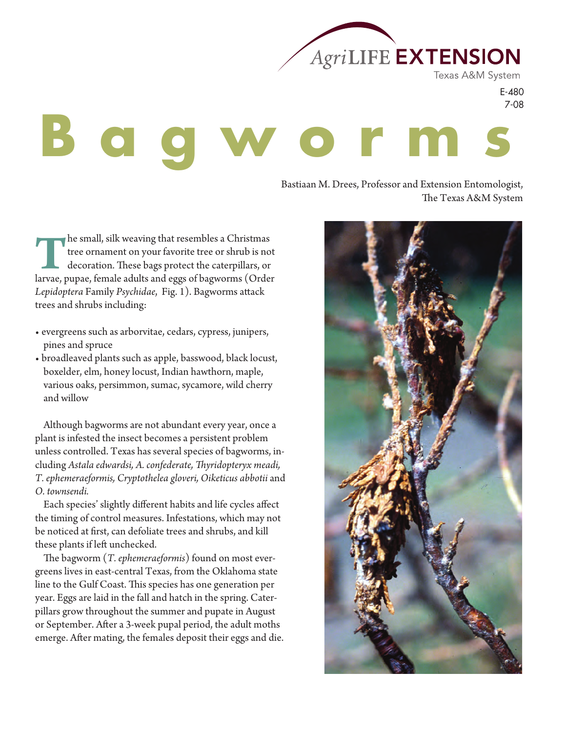

Texas A&M System

E-480 7-08

# **B a g w o r m s**

Bastiaan M. Drees, Professor and Extension Entomologist, The Texas A&M System

The small, silk weaving that resembles a Christmas tree ornament on your favorite tree or shrub is not decoration. These bags protect the caterpillars, or larvae, pupae, female adults and eggs of bagworms (Order *Lepidoptera* Family *Psychidae*, Fig. 1). Bagworms attack trees and shrubs including:

- evergreens such as arborvitae, cedars, cypress, junipers, pines and spruce
- broadleaved plants such as apple, basswood, black locust, boxelder, elm, honey locust, Indian hawthorn, maple, various oaks, persimmon, sumac, sycamore, wild cherry and willow

Although bagworms are not abundant every year, once a plant is infested the insect becomes a persistent problem unless controlled. Texas has several species of bagworms, including *Astala edwardsi, A. confederate, #yridopteryx meadi, T. ephemeraeformis, Cryptothelea gloveri, Oiketicus abbotii* and *O. townsendi.*

Each species' slightly different habits and life cycles affect the timing of control measures. Infestations, which may not be noticed at first, can defoliate trees and shrubs, and kill these plants if left unchecked.

The bagworm (*T. ephemeraeformis*) found on most evergreens lives in east-central Texas, from the Oklahoma state line to the Gulf Coast. This species has one generation per year. Eggs are laid in the fall and hatch in the spring. Caterpillars grow throughout the summer and pupate in August or September. After a 3-week pupal period, the adult moths emerge. After mating, the females deposit their eggs and die.

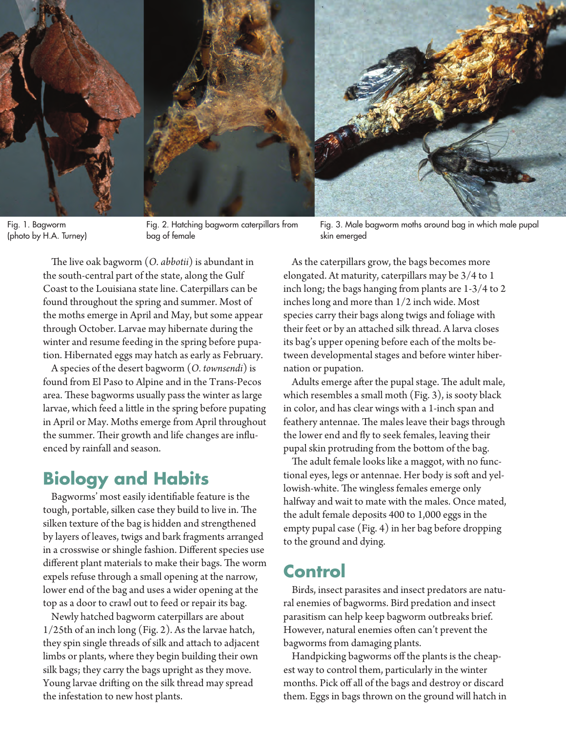

Fig. 1. Bagworm (photo by H.A. Turney)

Fig. 2. Hatching bagworm caterpillars from bag of female

The live oak bagworm (*O. abbotii*) is abundant in the south-central part of the state, along the Gulf Coast to the Louisiana state line. Caterpillars can be found throughout the spring and summer. Most of the moths emerge in April and May, but some appear through October. Larvae may hibernate during the winter and resume feeding in the spring before pupation. Hibernated eggs may hatch as early as February.

A species of the desert bagworm (*O. townsendi*) is found from El Paso to Alpine and in the Trans-Pecos area. These bagworms usually pass the winter as large larvae, which feed a little in the spring before pupating in April or May. Moths emerge from April throughout the summer. Their growth and life changes are influenced by rainfall and season.

## **Biology and Habits**

Bagworms' most easily identifiable feature is the tough, portable, silken case they build to live in. The silken texture of the bag is hidden and strengthened by layers of leaves, twigs and bark fragments arranged in a crosswise or shingle fashion. Different species use different plant materials to make their bags. The worm expels refuse through a small opening at the narrow, lower end of the bag and uses a wider opening at the top as a door to crawl out to feed or repair its bag.

Newly hatched bagworm caterpillars are about 1/25th of an inch long (Fig. 2). As the larvae hatch, they spin single threads of silk and attach to adjacent limbs or plants, where they begin building their own silk bags; they carry the bags upright as they move. Young larvae drifting on the silk thread may spread the infestation to new host plants.

Fig. 3. Male bagworm moths around bag in which male pupal skin emerged

As the caterpillars grow, the bags becomes more elongated. At maturity, caterpillars may be 3/4 to 1 inch long; the bags hanging from plants are 1-3/4 to 2 inches long and more than 1/2 inch wide. Most species carry their bags along twigs and foliage with their feet or by an attached silk thread. A larva closes its bag's upper opening before each of the molts between developmental stages and before winter hibernation or pupation.

Adults emerge after the pupal stage. The adult male, which resembles a small moth (Fig. 3), is sooty black in color, and has clear wings with a 1-inch span and feathery antennae. The males leave their bags through the lower end and fly to seek females, leaving their pupal skin protruding from the bottom of the bag.

The adult female looks like a maggot, with no functional eyes, legs or antennae. Her body is soft and yellowish-white. The wingless females emerge only halfway and wait to mate with the males. Once mated, the adult female deposits 400 to 1,000 eggs in the empty pupal case (Fig. 4) in her bag before dropping to the ground and dying.

### **Control**

Birds, insect parasites and insect predators are natural enemies of bagworms. Bird predation and insect parasitism can help keep bagworm outbreaks brief. However, natural enemies often can't prevent the bagworms from damaging plants.

Handpicking bagworms off the plants is the cheapest way to control them, particularly in the winter months. Pick off all of the bags and destroy or discard them. Eggs in bags thrown on the ground will hatch in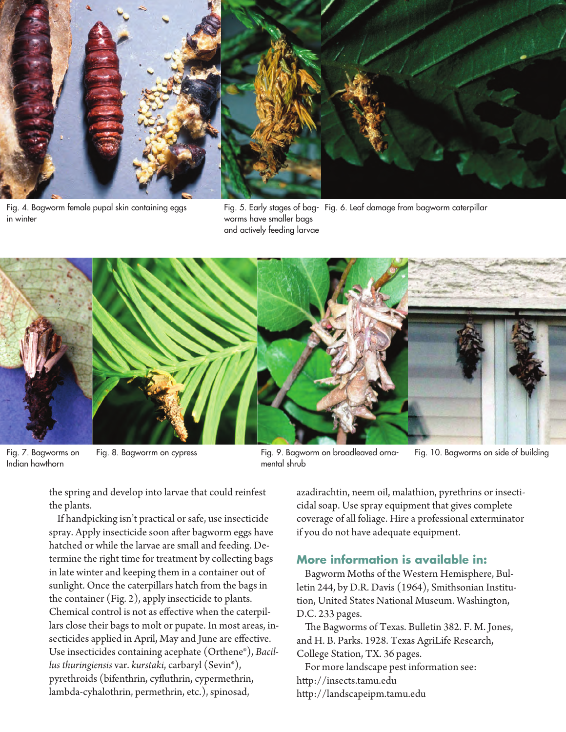

Fig. 4. Bagworm female pupal skin containing eggs in winter

Fig. 5. Early stages of bag-Fig. 6. Leaf damage from bagworm caterpillar worms have smaller bags and actively feeding larvae



Fig. 7. Bagworms on Indian hawthorn

Fig. 8. Bagworrm on cypress Fig. 9. Bagworm on broadleaved ornamental shrub Fig. 10. Bagworms on side of building

the spring and develop into larvae that could reinfest the plants.

If handpicking isn't practical or safe, use insecticide spray. Apply insecticide soon after bagworm eggs have hatched or while the larvae are small and feeding. Determine the right time for treatment by collecting bags in late winter and keeping them in a container out of sunlight. Once the caterpillars hatch from the bags in the container (Fig. 2), apply insecticide to plants. Chemical control is not as effective when the caterpillars close their bags to molt or pupate. In most areas, insecticides applied in April, May and June are effective. Use insecticides containing acephate (Orthene®), *Bacillus thuringiensis* var. *kurstaki*, carbaryl (Sevin®), pyrethroids (bifenthrin, cyfluthrin, cypermethrin, lambda-cyhalothrin, permethrin, etc.), spinosad,

azadirachtin, neem oil, malathion, pyrethrins or insecticidal soap. Use spray equipment that gives complete coverage of all foliage. Hire a professional exterminator if you do not have adequate equipment.

#### **More information is available in:**

Bagworm Moths of the Western Hemisphere, Bulletin 244, by D.R. Davis (1964), Smithsonian Institution, United States National Museum. Washington, D.C. 233 pages.

The Bagworms of Texas. Bulletin 382. F. M. Jones, and H. B. Parks. 1928. Texas AgriLife Research, College Station, TX. 36 pages.

For more landscape pest information see: http://insects.tamu.edu http://landscapeipm.tamu.edu